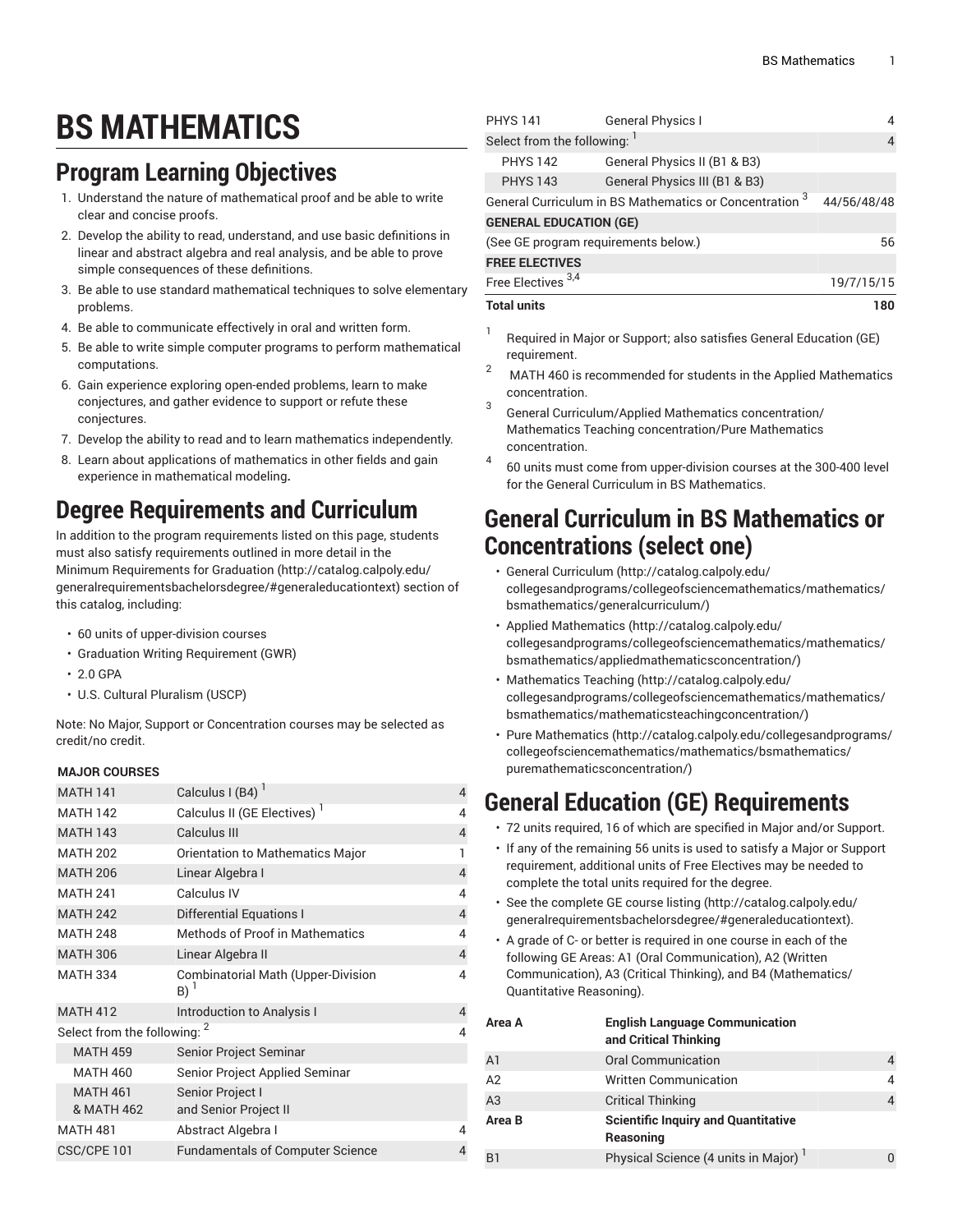# **BS MATHEMATICS**

### **Program Learning Objectives**

- 1. Understand the nature of mathematical proof and be able to write clear and concise proofs.
- 2. Develop the ability to read, understand, and use basic definitions in linear and abstract algebra and real analysis, and be able to prove simple consequences of these definitions.
- 3. Be able to use standard mathematical techniques to solve elementary problems.
- 4. Be able to communicate effectively in oral and written form.
- 5. Be able to write simple computer programs to perform mathematical computations.
- 6. Gain experience exploring open-ended problems, learn to make conjectures, and gather evidence to support or refute these conjectures.
- 7. Develop the ability to read and to learn mathematics independently.
- 8. Learn about applications of mathematics in other fields and gain experience in mathematical modeling**.**

## **Degree Requirements and Curriculum**

In addition to the program requirements listed on this page, students must also satisfy requirements outlined in more detail in the Minimum [Requirements](http://catalog.calpoly.edu/generalrequirementsbachelorsdegree/#generaleducationtext) for Graduation ([http://catalog.calpoly.edu/](http://catalog.calpoly.edu/generalrequirementsbachelorsdegree/#generaleducationtext) [generalrequirementsbachelorsdegree/#generaleducationtext\)](http://catalog.calpoly.edu/generalrequirementsbachelorsdegree/#generaleducationtext) section of this catalog, including:

- 60 units of upper-division courses
- Graduation Writing Requirement (GWR)
- 2.0 GPA
- U.S. Cultural Pluralism (USCP)

Note: No Major, Support or Concentration courses may be selected as credit/no credit.

#### **MAJOR COURSES**

|                                         | <b>MATH 141</b>               | Calculus I (B4) $1$                                                             | $\overline{4}$ |
|-----------------------------------------|-------------------------------|---------------------------------------------------------------------------------|----------------|
|                                         | <b>MATH 142</b>               | Calculus II (GE Electives) <sup>1</sup>                                         | 4              |
|                                         | <b>MATH 143</b>               | Calculus III                                                                    | $\overline{4}$ |
|                                         | <b>MATH 202</b>               | Orientation to Mathematics Major                                                | 1              |
|                                         | <b>MATH 206</b>               | Linear Algebra I                                                                | $\overline{4}$ |
|                                         | <b>MATH 241</b>               | Calculus IV                                                                     | 4              |
|                                         | <b>MATH 242</b>               | <b>Differential Equations I</b>                                                 | $\overline{4}$ |
|                                         | <b>MATH 248</b>               | <b>Methods of Proof in Mathematics</b>                                          | 4              |
|                                         | <b>MATH 306</b>               | Linear Algebra II                                                               | $\overline{4}$ |
| <b>MATH 334</b>                         |                               | <b>Combinatorial Math (Upper-Division</b><br>$B)$ <sup><math>\perp</math></sup> | 4              |
|                                         | <b>MATH 412</b>               | <b>Introduction to Analysis I</b>                                               | $\overline{4}$ |
| Select from the following: <sup>2</sup> |                               |                                                                                 |                |
|                                         | <b>MATH 459</b>               | Senior Project Seminar                                                          |                |
|                                         | <b>MATH 460</b>               | Senior Project Applied Seminar                                                  |                |
|                                         | <b>MATH 461</b><br>& MATH 462 | Senior Project I<br>and Senior Project II                                       |                |
| <b>MATH 481</b>                         |                               | Abstract Algebra I                                                              | 4              |
| CSC/CPE 101                             |                               | <b>Fundamentals of Computer Science</b>                                         | 4              |
|                                         |                               |                                                                                 |                |

| <b>PHYS 141</b>                      | <b>General Physics I</b>                                           | 4           |  |  |  |
|--------------------------------------|--------------------------------------------------------------------|-------------|--|--|--|
| Select from the following: 1         | 4                                                                  |             |  |  |  |
| <b>PHYS 142</b>                      | General Physics II (B1 & B3)                                       |             |  |  |  |
| <b>PHYS 143</b>                      | General Physics III (B1 & B3)                                      |             |  |  |  |
|                                      | General Curriculum in BS Mathematics or Concentration <sup>3</sup> | 44/56/48/48 |  |  |  |
| <b>GENERAL EDUCATION (GE)</b>        |                                                                    |             |  |  |  |
| (See GE program requirements below.) | 56                                                                 |             |  |  |  |
| <b>FREE ELECTIVES</b>                |                                                                    |             |  |  |  |
| Free Electives <sup>3,4</sup>        | 19/7/15/15                                                         |             |  |  |  |
| <b>Total units</b>                   | 180                                                                |             |  |  |  |

- 1 Required in Major or Support; also satisfies General Education (GE) requirement.
- <sup>2</sup> MATH <sup>460</sup> is recommended for students in the Applied Mathematics concentration.
- 3 General Curriculum/Applied Mathematics concentration/ Mathematics Teaching concentration/Pure Mathematics concentration.
- 4 60 units must come from upper-division courses at the 300-400 level for the General Curriculum in BS Mathematics.

### **General Curriculum in BS Mathematics or Concentrations (select one)**

- [General Curriculum](http://catalog.calpoly.edu/collegesandprograms/collegeofsciencemathematics/mathematics/bsmathematics/generalcurriculum/) [\(http://catalog.calpoly.edu/](http://catalog.calpoly.edu/collegesandprograms/collegeofsciencemathematics/mathematics/bsmathematics/generalcurriculum/) [collegesandprograms/collegeofsciencemathematics/mathematics/](http://catalog.calpoly.edu/collegesandprograms/collegeofsciencemathematics/mathematics/bsmathematics/generalcurriculum/) [bsmathematics/generalcurriculum/\)](http://catalog.calpoly.edu/collegesandprograms/collegeofsciencemathematics/mathematics/bsmathematics/generalcurriculum/)
- [Applied Mathematics](http://catalog.calpoly.edu/collegesandprograms/collegeofsciencemathematics/mathematics/bsmathematics/appliedmathematicsconcentration/) ([http://catalog.calpoly.edu/](http://catalog.calpoly.edu/collegesandprograms/collegeofsciencemathematics/mathematics/bsmathematics/appliedmathematicsconcentration/) [collegesandprograms/collegeofsciencemathematics/mathematics/](http://catalog.calpoly.edu/collegesandprograms/collegeofsciencemathematics/mathematics/bsmathematics/appliedmathematicsconcentration/) [bsmathematics/appliedmathematicsconcentration/](http://catalog.calpoly.edu/collegesandprograms/collegeofsciencemathematics/mathematics/bsmathematics/appliedmathematicsconcentration/))
- [Mathematics](http://catalog.calpoly.edu/collegesandprograms/collegeofsciencemathematics/mathematics/bsmathematics/mathematicsteachingconcentration/) Teaching [\(http://catalog.calpoly.edu/](http://catalog.calpoly.edu/collegesandprograms/collegeofsciencemathematics/mathematics/bsmathematics/mathematicsteachingconcentration/) [collegesandprograms/collegeofsciencemathematics/mathematics/](http://catalog.calpoly.edu/collegesandprograms/collegeofsciencemathematics/mathematics/bsmathematics/mathematicsteachingconcentration/) [bsmathematics/mathematicsteachingconcentration/](http://catalog.calpoly.edu/collegesandprograms/collegeofsciencemathematics/mathematics/bsmathematics/mathematicsteachingconcentration/))
- Pure [Mathematics](http://catalog.calpoly.edu/collegesandprograms/collegeofsciencemathematics/mathematics/bsmathematics/puremathematicsconcentration/) [\(http://catalog.calpoly.edu/collegesandprograms/](http://catalog.calpoly.edu/collegesandprograms/collegeofsciencemathematics/mathematics/bsmathematics/puremathematicsconcentration/) [collegeofsciencemathematics/mathematics/bsmathematics/](http://catalog.calpoly.edu/collegesandprograms/collegeofsciencemathematics/mathematics/bsmathematics/puremathematicsconcentration/) [puremathematicsconcentration/](http://catalog.calpoly.edu/collegesandprograms/collegeofsciencemathematics/mathematics/bsmathematics/puremathematicsconcentration/))

## **General Education (GE) Requirements**

- 72 units required, 16 of which are specified in Major and/or Support.
- If any of the remaining 56 units is used to satisfy a Major or Support requirement, additional units of Free Electives may be needed to complete the total units required for the degree.
- See the [complete GE course listing](http://catalog.calpoly.edu/generalrequirementsbachelorsdegree/#generaleducationtext) [\(http://catalog.calpoly.edu/](http://catalog.calpoly.edu/generalrequirementsbachelorsdegree/#generaleducationtext) [generalrequirementsbachelorsdegree/#generaleducationtext](http://catalog.calpoly.edu/generalrequirementsbachelorsdegree/#generaleducationtext)).
- A grade of C- or better is required in one course in each of the following GE Areas: A1 (Oral Communication), A2 (Written Communication), A3 (Critical Thinking), and B4 (Mathematics/ Quantitative Reasoning).

| Area A         | <b>English Language Communication</b><br>and Critical Thinking |   |
|----------------|----------------------------------------------------------------|---|
| A <sub>1</sub> | <b>Oral Communication</b>                                      | 4 |
| A2             | <b>Written Communication</b>                                   | 4 |
| A3             | <b>Critical Thinking</b>                                       |   |
| Area B         | <b>Scientific Inquiry and Quantitative</b><br>Reasoning        |   |
| B <sub>1</sub> | Physical Science (4 units in Major) <sup>1</sup>               |   |